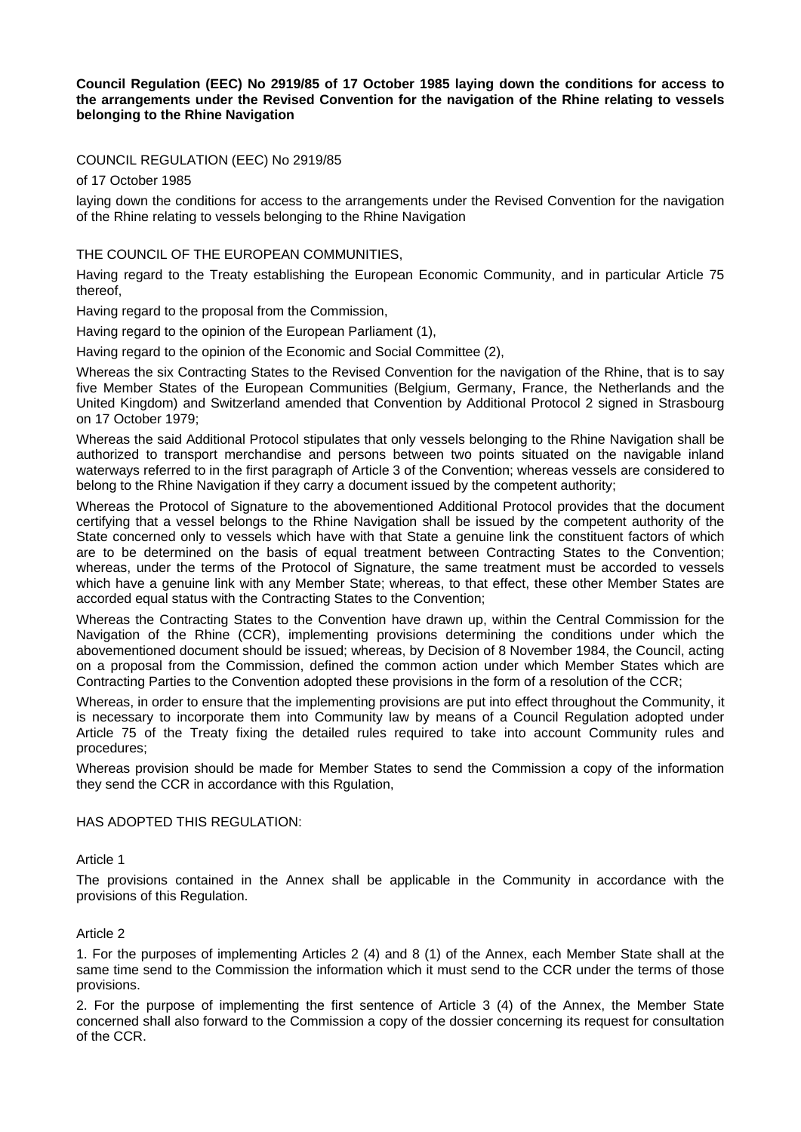# **Council Regulation (EEC) No 2919/85 of 17 October 1985 laying down the conditions for access to the arrangements under the Revised Convention for the navigation of the Rhine relating to vessels belonging to the Rhine Navigation**

# COUNCIL REGULATION (EEC) No 2919/85

of 17 October 1985

laying down the conditions for access to the arrangements under the Revised Convention for the navigation of the Rhine relating to vessels belonging to the Rhine Navigation

# THE COUNCIL OF THE EUROPEAN COMMUNITIES,

Having regard to the Treaty establishing the European Economic Community, and in particular Article 75 thereof,

Having regard to the proposal from the Commission,

Having regard to the opinion of the European Parliament (1),

Having regard to the opinion of the Economic and Social Committee (2),

Whereas the six Contracting States to the Revised Convention for the navigation of the Rhine, that is to say five Member States of the European Communities (Belgium, Germany, France, the Netherlands and the United Kingdom) and Switzerland amended that Convention by Additional Protocol 2 signed in Strasbourg on 17 October 1979;

Whereas the said Additional Protocol stipulates that only vessels belonging to the Rhine Navigation shall be authorized to transport merchandise and persons between two points situated on the navigable inland waterways referred to in the first paragraph of Article 3 of the Convention; whereas vessels are considered to belong to the Rhine Navigation if they carry a document issued by the competent authority;

Whereas the Protocol of Signature to the abovementioned Additional Protocol provides that the document certifying that a vessel belongs to the Rhine Navigation shall be issued by the competent authority of the State concerned only to vessels which have with that State a genuine link the constituent factors of which are to be determined on the basis of equal treatment between Contracting States to the Convention; whereas, under the terms of the Protocol of Signature, the same treatment must be accorded to vessels which have a genuine link with any Member State; whereas, to that effect, these other Member States are accorded equal status with the Contracting States to the Convention;

Whereas the Contracting States to the Convention have drawn up, within the Central Commission for the Navigation of the Rhine (CCR), implementing provisions determining the conditions under which the abovementioned document should be issued; whereas, by Decision of 8 November 1984, the Council, acting on a proposal from the Commission, defined the common action under which Member States which are Contracting Parties to the Convention adopted these provisions in the form of a resolution of the CCR;

Whereas, in order to ensure that the implementing provisions are put into effect throughout the Community, it is necessary to incorporate them into Community law by means of a Council Regulation adopted under Article 75 of the Treaty fixing the detailed rules required to take into account Community rules and procedures;

Whereas provision should be made for Member States to send the Commission a copy of the information they send the CCR in accordance with this Rgulation,

#### HAS ADOPTED THIS REGULATION:

#### Article 1

The provisions contained in the Annex shall be applicable in the Community in accordance with the provisions of this Regulation.

# Article 2

1. For the purposes of implementing Articles 2 (4) and 8 (1) of the Annex, each Member State shall at the same time send to the Commission the information which it must send to the CCR under the terms of those provisions.

2. For the purpose of implementing the first sentence of Article 3 (4) of the Annex, the Member State concerned shall also forward to the Commission a copy of the dossier concerning its request for consultation of the CCR.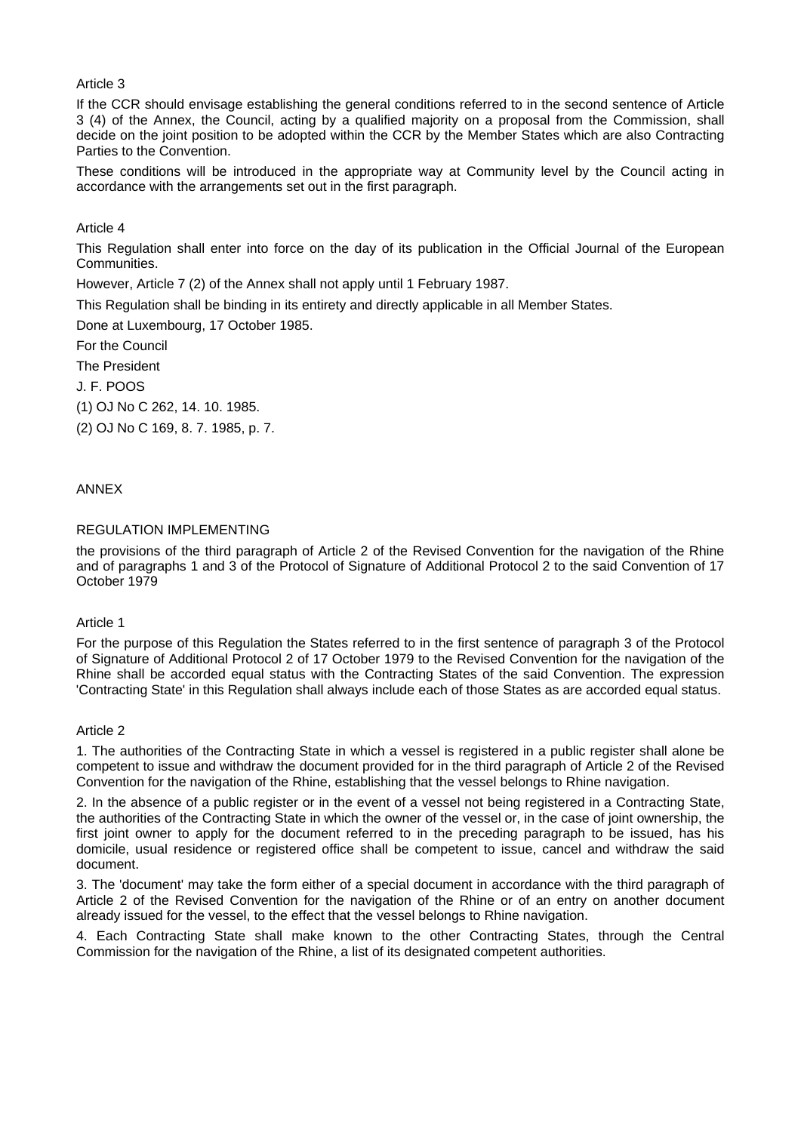Article 3

If the CCR should envisage establishing the general conditions referred to in the second sentence of Article 3 (4) of the Annex, the Council, acting by a qualified majority on a proposal from the Commission, shall decide on the joint position to be adopted within the CCR by the Member States which are also Contracting Parties to the Convention.

These conditions will be introduced in the appropriate way at Community level by the Council acting in accordance with the arrangements set out in the first paragraph.

Article 4

This Regulation shall enter into force on the day of its publication in the Official Journal of the European Communities.

However, Article 7 (2) of the Annex shall not apply until 1 February 1987.

This Regulation shall be binding in its entirety and directly applicable in all Member States.

Done at Luxembourg, 17 October 1985.

For the Council

The President

J. F. POOS

(1) OJ No C 262, 14. 10. 1985.

(2) OJ No C 169, 8. 7. 1985, p. 7.

ANNEX

# REGULATION IMPLEMENTING

the provisions of the third paragraph of Article 2 of the Revised Convention for the navigation of the Rhine and of paragraphs 1 and 3 of the Protocol of Signature of Additional Protocol 2 to the said Convention of 17 October 1979

Article 1

For the purpose of this Regulation the States referred to in the first sentence of paragraph 3 of the Protocol of Signature of Additional Protocol 2 of 17 October 1979 to the Revised Convention for the navigation of the Rhine shall be accorded equal status with the Contracting States of the said Convention. The expression 'Contracting State' in this Regulation shall always include each of those States as are accorded equal status.

### Article 2

1. The authorities of the Contracting State in which a vessel is registered in a public register shall alone be competent to issue and withdraw the document provided for in the third paragraph of Article 2 of the Revised Convention for the navigation of the Rhine, establishing that the vessel belongs to Rhine navigation.

2. In the absence of a public register or in the event of a vessel not being registered in a Contracting State, the authorities of the Contracting State in which the owner of the vessel or, in the case of joint ownership, the first joint owner to apply for the document referred to in the preceding paragraph to be issued, has his domicile, usual residence or registered office shall be competent to issue, cancel and withdraw the said document.

3. The 'document' may take the form either of a special document in accordance with the third paragraph of Article 2 of the Revised Convention for the navigation of the Rhine or of an entry on another document already issued for the vessel, to the effect that the vessel belongs to Rhine navigation.

4. Each Contracting State shall make known to the other Contracting States, through the Central Commission for the navigation of the Rhine, a list of its designated competent authorities.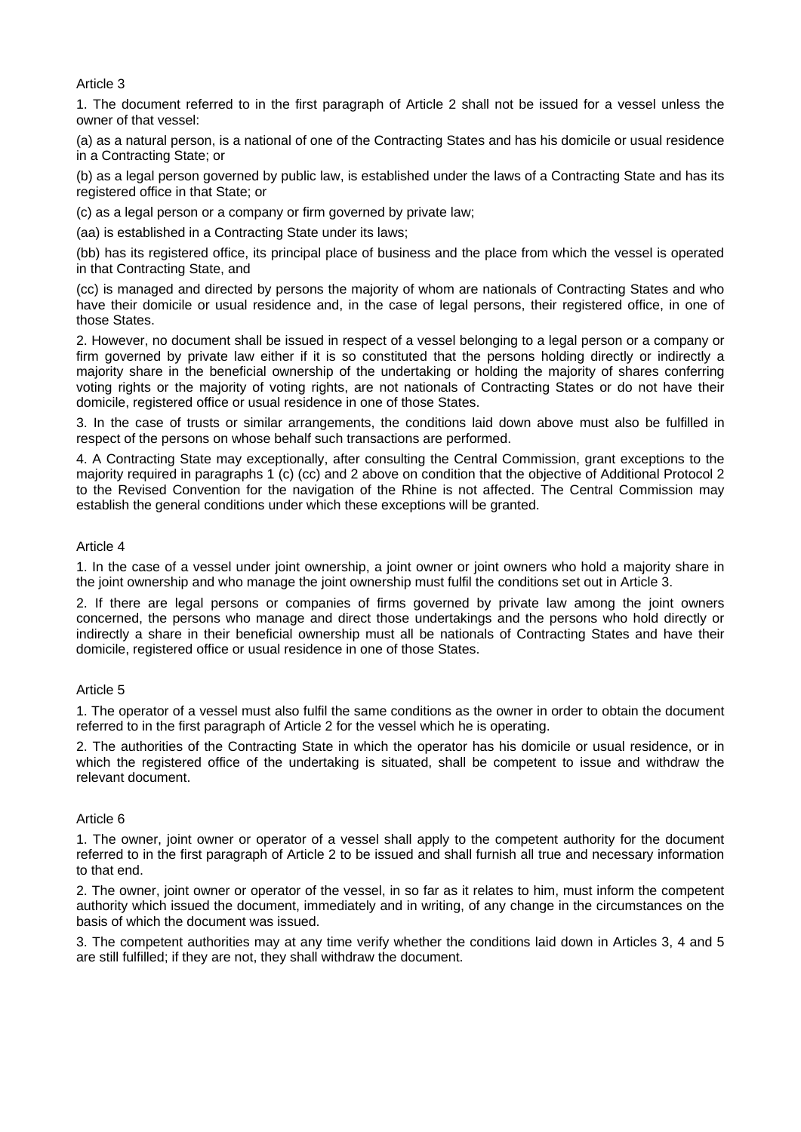Article 3

1. The document referred to in the first paragraph of Article 2 shall not be issued for a vessel unless the owner of that vessel:

(a) as a natural person, is a national of one of the Contracting States and has his domicile or usual residence in a Contracting State; or

(b) as a legal person governed by public law, is established under the laws of a Contracting State and has its registered office in that State; or

(c) as a legal person or a company or firm governed by private law;

(aa) is established in a Contracting State under its laws;

(bb) has its registered office, its principal place of business and the place from which the vessel is operated in that Contracting State, and

(cc) is managed and directed by persons the majority of whom are nationals of Contracting States and who have their domicile or usual residence and, in the case of legal persons, their registered office, in one of those States.

2. However, no document shall be issued in respect of a vessel belonging to a legal person or a company or firm governed by private law either if it is so constituted that the persons holding directly or indirectly a majority share in the beneficial ownership of the undertaking or holding the majority of shares conferring voting rights or the majority of voting rights, are not nationals of Contracting States or do not have their domicile, registered office or usual residence in one of those States.

3. In the case of trusts or similar arrangements, the conditions laid down above must also be fulfilled in respect of the persons on whose behalf such transactions are performed.

4. A Contracting State may exceptionally, after consulting the Central Commission, grant exceptions to the majority required in paragraphs 1 (c) (cc) and 2 above on condition that the objective of Additional Protocol 2 to the Revised Convention for the navigation of the Rhine is not affected. The Central Commission may establish the general conditions under which these exceptions will be granted.

# Article 4

1. In the case of a vessel under joint ownership, a joint owner or joint owners who hold a majority share in the joint ownership and who manage the joint ownership must fulfil the conditions set out in Article 3.

2. If there are legal persons or companies of firms governed by private law among the joint owners concerned, the persons who manage and direct those undertakings and the persons who hold directly or indirectly a share in their beneficial ownership must all be nationals of Contracting States and have their domicile, registered office or usual residence in one of those States.

#### Article 5

1. The operator of a vessel must also fulfil the same conditions as the owner in order to obtain the document referred to in the first paragraph of Article 2 for the vessel which he is operating.

2. The authorities of the Contracting State in which the operator has his domicile or usual residence, or in which the registered office of the undertaking is situated, shall be competent to issue and withdraw the relevant document.

#### Article 6

1. The owner, joint owner or operator of a vessel shall apply to the competent authority for the document referred to in the first paragraph of Article 2 to be issued and shall furnish all true and necessary information to that end.

2. The owner, joint owner or operator of the vessel, in so far as it relates to him, must inform the competent authority which issued the document, immediately and in writing, of any change in the circumstances on the basis of which the document was issued.

3. The competent authorities may at any time verify whether the conditions laid down in Articles 3, 4 and 5 are still fulfilled; if they are not, they shall withdraw the document.